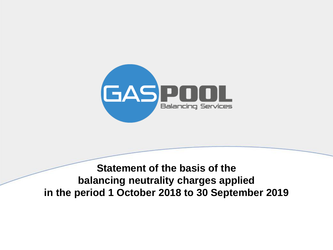

**Statement of the basis of the balancing neutrality charges applied in the period 1 October 2018 to 30 September 2019**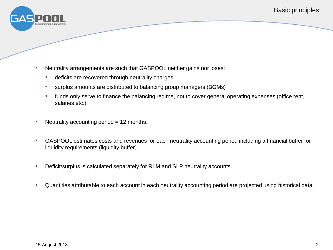

- Neutrality arrangements are such that GASPOOL neither gains nor loses:
	- deficits are recovered through neutrality charges
	- surplus amounts are distributed to balancing group managers (BGMs)
	- funds only serve to finance the balancing regime, not to cover general operating expenses (office rent, salaries etc.)
- Neutrality accounting period  $= 12$  months.
- GASPOOL estimates costs and revenues for each neutrality accounting period including a financial buffer for liquidity requirements (liquidity buffer).
- Deficit/surplus is calculated separately for RLM and SLP neutrality accounts.
- Quantities attributable to each account in each neutrality accounting period are projected using historical data.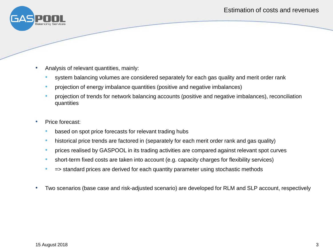

- Analysis of relevant quantities, mainly:
	- system balancing volumes are considered separately for each gas quality and merit order rank
	- projection of energy imbalance quantities (positive and negative imbalances)
	- projection of trends for network balancing accounts (positive and negative imbalances), reconciliation quantities
- Price forecast:
	- based on spot price forecasts for relevant trading hubs
	- historical price trends are factored in (separately for each merit order rank and gas quality)
	- prices realised by GASPOOL in its trading activities are compared against relevant spot curves
	- short-term fixed costs are taken into account (e.g. capacity charges for flexibility services)
	- => standard prices are derived for each quantity parameter using stochastic methods
- Two scenarios (base case and risk-adjusted scenario) are developed for RLM and SLP account, respectively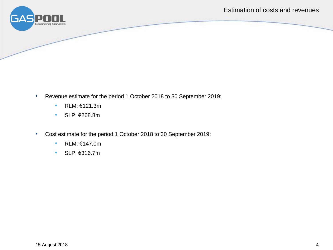

- Revenue estimate for the period 1 October 2018 to 30 September 2019:
	- RLM: €121.3m
	- SLP: €268.8m
- Cost estimate for the period 1 October 2018 to 30 September 2019:
	- RLM: €147.0m
	- SLP: €316.7m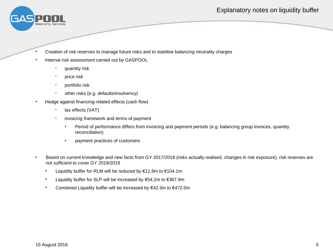## Explanatory notes on liquidity buffer



- Creation of risk reserves to manage future risks and to stabilise balancing neutrality charges
- Internal risk assessment carried out by GASPOOL
	- quantity risk
	- price risk
	- portfolio risk
	- other risks (e.g. defaults/insolvency)
- Hedge against financing-related effects (cash flow)
	- tax effects (VAT)
	- invoicing framework and terms of payment
		- Period of performance differs from invoicing and payment periods (e.g. balancing group invoices, quantity reconciliation)
		- payment practices of customers
- Based on current knowledge and new facts from GY 2017/2018 (risks actually realised, changes in risk exposure), risk reserves are not sufficient to cover GY 2018/2019
	- Liquidity buffer for RLM will be reduced by  $€11.9m$  to  $€104.1m$
	- Liquidity buffer for SLP will be increased by €54,2m to €367.9m
	- Combined Liquidity buffer will be increased by €42.3m to €472.0m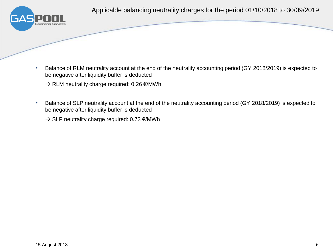

- Balance of RLM neutrality account at the end of the neutrality accounting period (GY 2018/2019) is expected to be negative after liquidity buffer is deducted
	- $\rightarrow$  RLM neutrality charge required: 0.26  $\epsilon$ /MWh
- Balance of SLP neutrality account at the end of the neutrality accounting period (GY 2018/2019) is expected to be negative after liquidity buffer is deducted
	- $\rightarrow$  SLP neutrality charge required: 0.73  $\epsilon$ /MWh